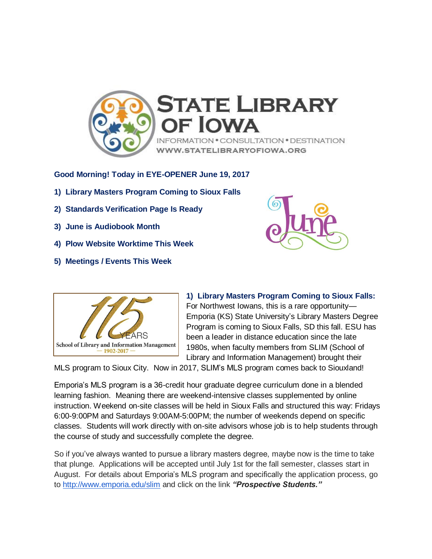

**Good Morning! Today in EYE-OPENER June 19, 2017**

- **1) Library Masters Program Coming to Sioux Falls**
- **2) Standards Verification Page Is Ready**
- **3) June is Audiobook Month**
- **4) Plow Website Worktime This Week**
- **5) Meetings / Events This Week**





**1) Library Masters Program Coming to Sioux Falls:**  For Northwest Iowans, this is a rare opportunity— Emporia (KS) State University's Library Masters Degree Program is coming to Sioux Falls, SD this fall. ESU has been a leader in distance education since the late 1980s, when faculty members from SLIM (School of Library and Information Management) brought their

MLS program to Sioux City. Now in 2017, SLIM's MLS program comes back to Siouxland!

Emporia's MLS program is a 36-credit hour graduate degree curriculum done in a blended learning fashion. Meaning there are weekend-intensive classes supplemented by online instruction. Weekend on-site classes will be held in Sioux Falls and structured this way: Fridays 6:00-9:00PM and Saturdays 9:00AM-5:00PM; the number of weekends depend on specific classes. Students will work directly with on-site advisors whose job is to help students through the course of study and successfully complete the degree.

So if you've always wanted to pursue a library masters degree, maybe now is the time to take that plunge. Applications will be accepted until July 1st for the fall semester, classes start in August. For details about Emporia's MLS program and specifically the application process, go to <http://www.emporia.edu/slim> and click on the link *"Prospective Students."*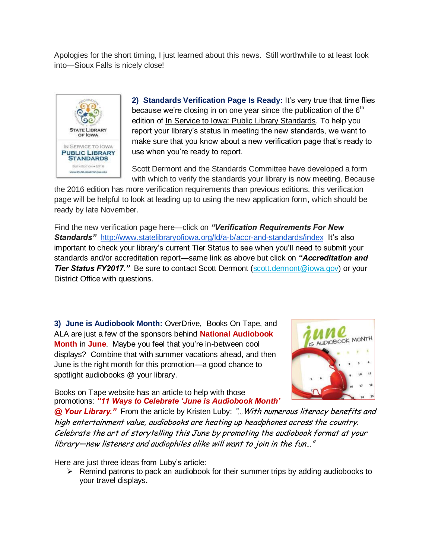Apologies for the short timing, I just learned about this news. Still worthwhile to at least look into—Sioux Falls is nicely close!



**2) Standards Verification Page Is Ready:** It's very true that time flies because we're closing in on one year since the publication of the  $6<sup>th</sup>$ edition of In Service to Iowa: Public Library Standards. To help you report your library's status in meeting the new standards, we want to make sure that you know about a new verification page that's ready to use when you're ready to report.

Scott Dermont and the Standards Committee have developed a form with which to verify the standards your library is now meeting. Because

the 2016 edition has more verification requirements than previous editions, this verification page will be helpful to look at leading up to using the new application form, which should be ready by late November.

Find the new verification page here—click on *"Verification Requirements For New*  **Standards"** <http://www.statelibraryofiowa.org/ld/a-b/accr-and-standards/index>It's also important to check your library's current Tier Status to see when you'll need to submit your standards and/or accreditation report—same link as above but click on *"Accreditation and*  **Tier Status FY2017."** Be sure to contact Scott Dermont [\(scott.dermont@iowa.gov\)](mailto:scott.dermont@iowa.gov) or your District Office with questions.

**3) June is Audiobook Month:** OverDrive,Books On Tape, and ALA are just a few of the sponsors behind **National Audiobook Month** in **June**. Maybe you feel that you're in-between cool displays? Combine that with summer vacations ahead, and then June is the right month for this promotion—a good chance to spotlight audiobooks @ your library.

Books on Tape website has an article to help with those promotions: *"11 Ways to Celebrate 'June is Audiobook Month'* 



*@ Your Library."* From the article by Kristen Luby: "…With numerous literacy benefits and high entertainment value, audiobooks are heating up headphones across the country. Celebrate the art of storytelling this June by promoting the audiobook format at your library—new listeners and audiophiles alike will want to join in the fun…"

Here are just three ideas from Luby's article:

 $\triangleright$  Remind patrons to pack an audiobook for their summer trips by adding audiobooks to your travel displays**.**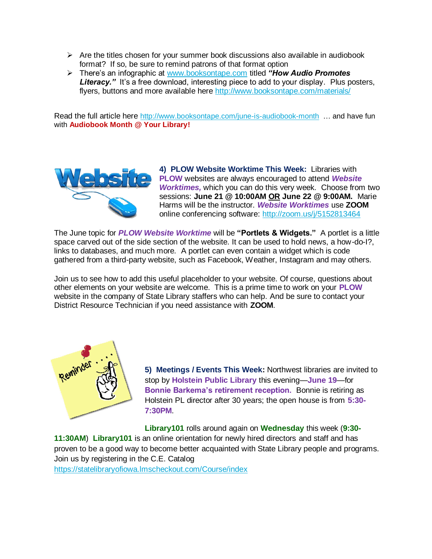- $\triangleright$  Are the titles chosen for your summer book discussions also available in audiobook format? If so, be sure to remind patrons of that format option
- There's an infographic at [www.booksontape.com](http://www.booksontape.com/) titled *"How Audio Promotes*  **Literacy.**" It's a free download, interesting piece to add to your display. Plus posters, flyers, buttons and more available here <http://www.booksontape.com/materials/>

Read the full article here <http://www.booksontape.com/june-is-audiobook-month> ... and have fun with **Audiobook Month @ Your Library!**



**4) PLOW Website Worktime This Week:** Libraries with **PLOW** websites are always encouraged to attend *Website Worktimes,* which you can do this very week. Choose from two sessions: **June 21 @ 10:00AM OR June 22 @ 9:00AM.** Marie Harms will be the instructor. *Website Worktimes* use **ZOOM** online conferencing software:<http://zoom.us/j/5152813464>

The June topic for *PLOW Website Worktime* will be **"Portlets & Widgets."** A portlet is a little space carved out of the side section of the website. It can be used to hold news, a how-do-I?, links to databases, and much more. A portlet can even contain a widget which is code gathered from a third-party website, such as Facebook, Weather, Instagram and may others.

Join us to see how to add this useful placeholder to your website. Of course, questions about other elements on your website are welcome. This is a prime time to work on your **PLOW** website in the company of State Library staffers who can help. And be sure to contact your District Resource Technician if you need assistance with **ZOOM**.



**5) Meetings / Events This Week:** Northwest libraries are invited to stop by **Holstein Public Library** this evening—**June 19**—for **Bonnie Barkema's retirement reception.** Bonnie is retiring as Holstein PL director after 30 years; the open house is from **5:30- 7:30PM**.

**Library101** rolls around again on **Wednesday** this week (**9:30- 11:30AM**) **Library101** is an online orientation for newly hired directors and staff and has proven to be a good way to become better acquainted with State Library people and programs. Join us by registering in the C.E. Catalog <https://statelibraryofiowa.lmscheckout.com/Course/index>